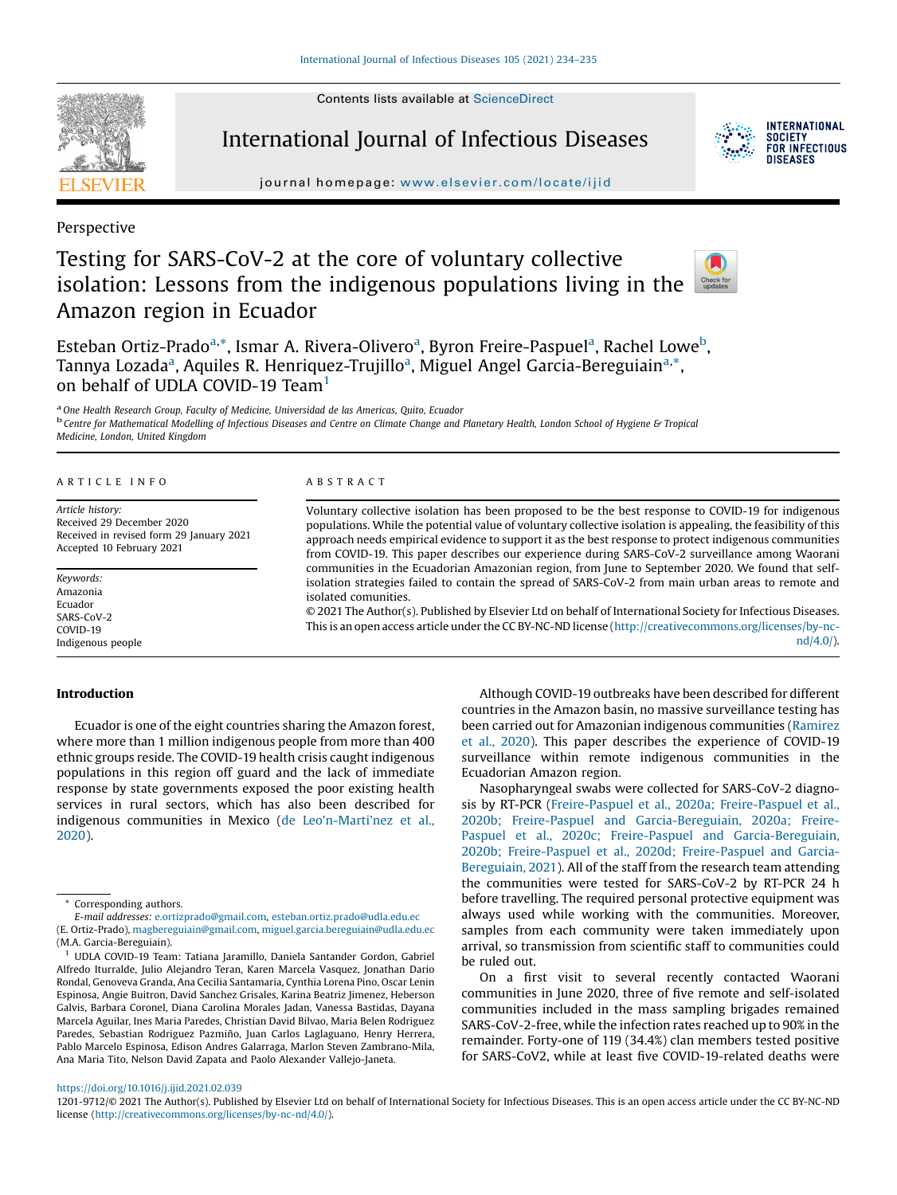Contents lists available at [ScienceDirect](http://www.sciencedirect.com/science/journal/12019712)



# International Journal of Infectious Diseases



**INTERNATIONAL SOCIETY** FOR INFECTIOUS DISFASES

journal homepage: <www.elsevier.com/locate/ijid>

Perspective

# Testing for SARS-CoV-2 at the core of voluntary collective isolation: Lessons from the indigenous populations living in the Amazon region in Ecuador



Esteban Ortiz-Prado<sup>a,\*</sup>, Ismar A. Rivera-Olivero<sup>a</sup>, Byron Freire-Paspuel<sup>a</sup>, Rachel Lowe<sup>b</sup>, Tannya Lozada<sup>a</sup>, Aquiles R. Henriquez-Trujillo<sup>a</sup>, Miguel Angel Garcia-Bereguiain<sup>a,\*</sup>, on behalf of UDLA COVID-19 Team<sup>1</sup>

<sup>a</sup>One Health Research Group, Faculty of Medicine, Universidad de las Americas, Quito, Ecuador <sup>b</sup> Centre for Mathematical Modelling of Infectious Diseases and Centre on Climate Change and Planetary Health, London School of Hygiene & Tropical Medicine, London, United Kingdom

## ARTICLE INFO

Article history: Received 29 December 2020 Received in revised form 29 January 2021 Accepted 10 February 2021

Keywords: Amazonia Ecuador SARS-CoV-2 COVID-19 Indigenous people

## Introduction

Ecuador is one of the eight countries sharing the Amazon forest, where more than 1 million indigenous people from more than 400 ethnic groups reside. The COVID-19 health crisis caught indigenous populations in this region off guard and the lack of immediate response by state governments exposed the poor existing health services in rural sectors, which has also been described for indigenous communities in Mexico (de Leo'n-Marti'[nez et al.,](#page-1-0) [2020](#page-1-0)).

ABSTRACT

Voluntary collective isolation has been proposed to be the best response to COVID-19 for indigenous populations. While the potential value of voluntary collective isolation is appealing, the feasibility of this approach needs empirical evidence to support it as the best response to protect indigenous communities from COVID-19. This paper describes our experience during SARS-CoV-2 surveillance among Waorani communities in the Ecuadorian Amazonian region, from June to September 2020. We found that selfisolation strategies failed to contain the spread of SARS-CoV-2 from main urban areas to remote and isolated comunities.

© 2021 The Author(s). Published by Elsevier Ltd on behalf of International Society for Infectious Diseases. This is an open access article under the CC BY-NC-ND license [\(http://creativecommons.org/licenses/by-nc](http://creativecommons.org/licenses/by-nc-nd/4.0/)[nd/4.0/](http://creativecommons.org/licenses/by-nc-nd/4.0/)).

> Although COVID-19 outbreaks have been described for different countries in the Amazon basin, no massive surveillance testing has been carried out for Amazonian indigenous communities [\(Ramirez](#page-1-0) [et al., 2020](#page-1-0)). This paper describes the experience of COVID-19 surveillance within remote indigenous communities in the Ecuadorian Amazon region.

> Nasopharyngeal swabs were collected for SARS-CoV-2 diagnosis by RT-PCR [\(Freire-Paspuel et al., 2020a; Freire-Paspuel et al.,](#page-1-0) [2020b; Freire-Paspuel and Garcia-Bereguiain, 2020a; Freire-](#page-1-0)[Paspuel et al., 2020c; Freire-Paspuel and Garcia-Bereguiain,](#page-1-0) [2020b; Freire-Paspuel et al., 2020d; Freire-Paspuel and Garcia-](#page-1-0)[Bereguiain, 2021\)](#page-1-0). All of the staff from the research team attending the communities were tested for SARS-CoV-2 by RT-PCR 24 h before travelling. The required personal protective equipment was always used while working with the communities. Moreover, samples from each community were taken immediately upon arrival, so transmission from scientific staff to communities could be ruled out.

> On a first visit to several recently contacted Waorani communities in June 2020, three of five remote and self-isolated communities included in the mass sampling brigades remained SARS-CoV-2-free, while the infection rates reached up to 90% in the remainder. Forty-one of 119 (34.4%) clan members tested positive for SARS-CoV2, while at least five COVID-19-related deaths were

### <https://doi.org/10.1016/j.ijid.2021.02.039>

1201-9712/© 2021 The Author(s). Published by Elsevier Ltd on behalf of International Society for Infectious Diseases. This is an open access article under the CC BY-NC-ND license [\(http://creativecommons.org/licenses/by-nc-nd/4.0/\)](http://creativecommons.org/licenses/by-nc-nd/4.0/).

<sup>\*</sup> Corresponding authors.

E-mail addresses: [e.ortizprado@gmail.com,](mailto:e.ortizprado@gmail.com) [esteban.ortiz.prado@udla.edu.ec](mailto:esteban.ortiz.prado@udla.edu.ec) (E. Ortiz-Prado), [magbereguiain@gmail.com,](mailto:magbereguiain@gmail.com) [miguel.garcia.bereguiain@udla.edu.ec](mailto:miguel.garcia.bereguiain@udla.edu.ec) (M.A. Garcia-Bereguiain).

<sup>&</sup>lt;sup>1</sup> UDLA COVID-19 Team: Tatiana Jaramillo, Daniela Santander Gordon, Gabriel Alfredo Iturralde, Julio Alejandro Teran, Karen Marcela Vasquez, Jonathan Dario Rondal, Genoveva Granda, Ana Cecilia Santamaria, Cynthia Lorena Pino, Oscar Lenin Espinosa, Angie Buitron, David Sanchez Grisales, Karina Beatriz Jimenez, Heberson Galvis, Barbara Coronel, Diana Carolina Morales Jadan, Vanessa Bastidas, Dayana Marcela Aguilar, Ines Maria Paredes, Christian David Bilvao, Maria Belen Rodriguez Paredes, Sebastian Rodriguez Pazmiño, Juan Carlos Laglaguano, Henry Herrera, Pablo Marcelo Espinosa, Edison Andres Galarraga, Marlon Steven Zambrano-Mila, Ana Maria Tito, Nelson David Zapata and Paolo Alexander Vallejo-Janeta.